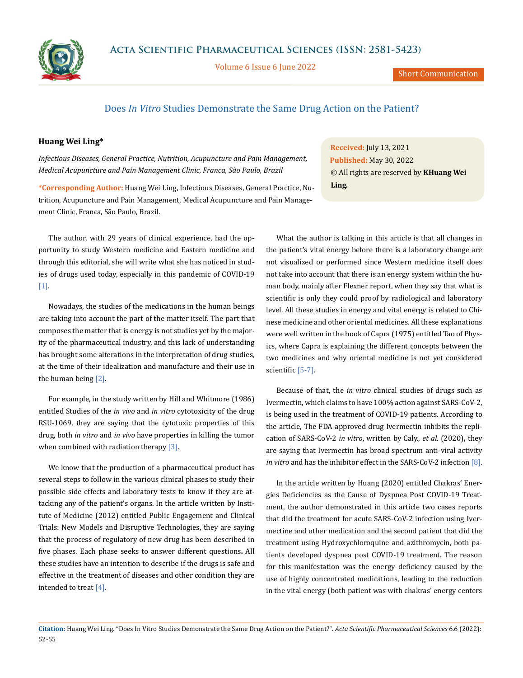

Volume 6 Issue 6 June 2022

Short Communication

## Does *In Vitro* Studies Demonstrate the Same Drug Action on the Patient?

## **Huang Wei Ling\***

*Infectious Diseases, General Practice, Nutrition, Acupuncture and Pain Management, Medical Acupuncture and Pain Management Clinic, Franca, São Paulo, Brazil*

**\*Corresponding Author:** Huang Wei Ling, Infectious Diseases, General Practice, Nutrition, Acupuncture and Pain Management, Medical Acupuncture and Pain Management Clinic, Franca, São Paulo, Brazil.

The author, with 29 years of clinical experience, had the opportunity to study Western medicine and Eastern medicine and through this editorial, she will write what she has noticed in studies of drugs used today, especially in this pandemic of COVID-19 [1].

Nowadays, the studies of the medications in the human beings are taking into account the part of the matter itself. The part that composes the matter that is energy is not studies yet by the majority of the pharmaceutical industry, and this lack of understanding has brought some alterations in the interpretation of drug studies, at the time of their idealization and manufacture and their use in the human being [2].

For example, in the study written by Hill and Whitmore (1986) entitled Studies of the *in vivo* and *in vitro* cytotoxicity of the drug RSU-1069, they are saying that the cytotoxic properties of this drug, both *in vitro* and *in vivo* have properties in killing the tumor when combined with radiation therapy  $[3]$ .

We know that the production of a pharmaceutical product has several steps to follow in the various clinical phases to study their possible side effects and laboratory tests to know if they are attacking any of the patient's organs. In the article written by Institute of Medicine (2012) entitled Public Engagement and Clinical Trials: New Models and Disruptive Technologies, they are saying that the process of regulatory of new drug has been described in five phases. Each phase seeks to answer different questions**.** All these studies have an intention to describe if the drugs is safe and effective in the treatment of diseases and other condition they are intended to treat [4].

**Received:** July 13, 2021 **Published:** May 30, 2022 © All rights are reserved by **KHuang Wei Ling***.*

What the author is talking in this article is that all changes in the patient's vital energy before there is a laboratory change are not visualized or performed since Western medicine itself does not take into account that there is an energy system within the human body, mainly after Flexner report, when they say that what is scientific is only they could proof by radiological and laboratory level. All these studies in energy and vital energy is related to Chinese medicine and other oriental medicines. All these explanations were well written in the book of Capra (1975) entitled Tao of Physics, where Capra is explaining the different concepts between the two medicines and why oriental medicine is not yet considered scientific [5-7].

Because of that, the *in vitro* clinical studies of drugs such as Ivermectin, which claims to have 100% action against SARS-CoV-2, is being used in the treatment of COVID-19 patients. According to the article, The FDA-approved drug Ivermectin inhibits the replication of SARS-CoV-2 *in vitro*, written by Caly., *et al*. (2020)**,** they are saying that Ivermectin has broad spectrum anti-viral activity *in vitro* and has the inhibitor effect in the SARS-CoV-2 infection [8].

In the article written by Huang (2020) entitled Chakras' Energies Deficiencies as the Cause of Dyspnea Post COVID-19 Treatment, the author demonstrated in this article two cases reports that did the treatment for acute SARS-CoV-2 infection using Ivermectine and other medication and the second patient that did the treatment using Hydroxychloroquine and azithromycin, both patients developed dyspnea post COVID-19 treatment. The reason for this manifestation was the energy deficiency caused by the use of highly concentrated medications, leading to the reduction in the vital energy (both patient was with chakras' energy centers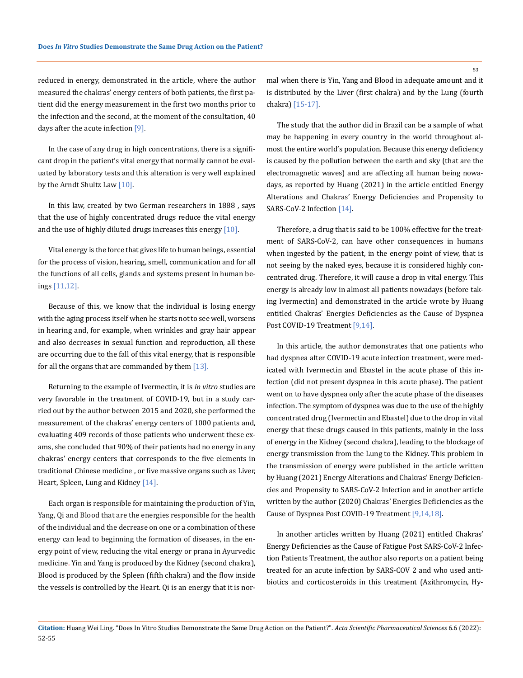reduced in energy, demonstrated in the article, where the author measured the chakras' energy centers of both patients, the first patient did the energy measurement in the first two months prior to the infection and the second, at the moment of the consultation, 40 days after the acute infection [9].

In the case of any drug in high concentrations, there is a significant drop in the patient's vital energy that normally cannot be evaluated by laboratory tests and this alteration is very well explained by the Arndt Shultz Law [10].

In this law, created by two German researchers in 1888 , says that the use of highly concentrated drugs reduce the vital energy and the use of highly diluted drugs increases this energy  $[10]$ .

Vital energy is the force that gives life to human beings, essential for the process of vision, hearing, smell, communication and for all the functions of all cells, glands and systems present in human beings [11,12].

Because of this, we know that the individual is losing energy with the aging process itself when he starts not to see well, worsens in hearing and, for example, when wrinkles and gray hair appear and also decreases in sexual function and reproduction, all these are occurring due to the fall of this vital energy, that is responsible for all the organs that are commanded by them  $[13]$ .

Returning to the example of Ivermectin, it is *in vitro* studies are very favorable in the treatment of COVID-19, but in a study carried out by the author between 2015 and 2020, she performed the measurement of the chakras' energy centers of 1000 patients and, evaluating 409 records of those patients who underwent these exams, she concluded that 90% of their patients had no energy in any chakras' energy centers that corresponds to the five elements in traditional Chinese medicine , or five massive organs such as Liver, Heart, Spleen, Lung and Kidney [14].

Each organ is responsible for maintaining the production of Yin, Yang, Qi and Blood that are the energies responsible for the health of the individual and the decrease on one or a combination of these energy can lead to beginning the formation of diseases, in the energy point of view, reducing the vital energy or prana in Ayurvedic medicine. Yin and Yang is produced by the Kidney (second chakra), Blood is produced by the Spleen (fifth chakra) and the flow inside the vessels is controlled by the Heart. Qi is an energy that it is normal when there is Yin, Yang and Blood in adequate amount and it is distributed by the Liver (first chakra) and by the Lung (fourth chakra) [15-17].

The study that the author did in Brazil can be a sample of what may be happening in every country in the world throughout almost the entire world's population. Because this energy deficiency is caused by the pollution between the earth and sky (that are the electromagnetic waves) and are affecting all human being nowadays, as reported by Huang (2021) in the article entitled Energy Alterations and Chakras' Energy Deficiencies and Propensity to SARS-CoV-2 Infection [14].

Therefore, a drug that is said to be 100% effective for the treatment of SARS-CoV-2, can have other consequences in humans when ingested by the patient, in the energy point of view, that is not seeing by the naked eyes, because it is considered highly concentrated drug. Therefore, it will cause a drop in vital energy. This energy is already low in almost all patients nowadays (before taking Ivermectin) and demonstrated in the article wrote by Huang entitled Chakras' Energies Deficiencies as the Cause of Dyspnea Post COVID-19 Treatment [9,14].

In this article, the author demonstrates that one patients who had dyspnea after COVID-19 acute infection treatment, were medicated with Ivermectin and Ebastel in the acute phase of this infection (did not present dyspnea in this acute phase). The patient went on to have dyspnea only after the acute phase of the diseases infection. The symptom of dyspnea was due to the use of the highly concentrated drug (Ivermectin and Ebastel) due to the drop in vital energy that these drugs caused in this patients, mainly in the loss of energy in the Kidney (second chakra), leading to the blockage of energy transmission from the Lung to the Kidney. This problem in the transmission of energy were published in the article written by Huang (2021) Energy Alterations and Chakras' Energy Deficiencies and Propensity to SARS-CoV-2 Infection and in another article written by the author (2020) Chakras' Energies Deficiencies as the Cause of Dyspnea Post COVID-19 Treatment [9,14,18].

In another articles written by Huang (2021) entitled Chakras' Energy Deficiencies as the Cause of Fatigue Post SARS-CoV-2 Infection Patients Treatment, the author also reports on a patient being treated for an acute infection by SARS-COV 2 and who used antibiotics and corticosteroids in this treatment (Azithromycin, Hy-

**Citation:** Huang Wei Ling*.* "Does In Vitro Studies Demonstrate the Same Drug Action on the Patient?". *Acta Scientific Pharmaceutical Sciences* 6.6 (2022): 52-55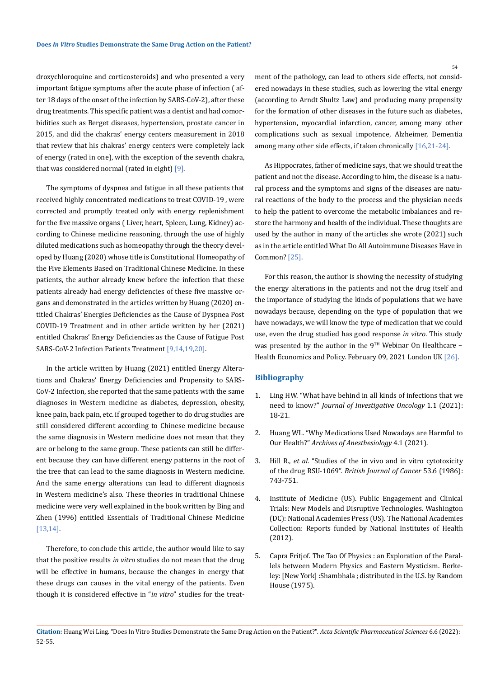droxychloroquine and corticosteroids) and who presented a very important fatigue symptoms after the acute phase of infection ( after 18 days of the onset of the infection by SARS-CoV-2), after these drug treatments. This specific patient was a dentist and had comorbidities such as Berget diseases, hypertension, prostate cancer in 2015, and did the chakras' energy centers measurement in 2018 that review that his chakras' energy centers were completely lack of energy (rated in one), with the exception of the seventh chakra, that was considered normal (rated in eight) [9].

The symptoms of dyspnea and fatigue in all these patients that received highly concentrated medications to treat COVID-19 , were corrected and promptly treated only with energy replenishment for the five massive organs ( Liver, heart, Spleen, Lung, Kidney) according to Chinese medicine reasoning, through the use of highly diluted medications such as homeopathy through the theory developed by Huang (2020) whose title is Constitutional Homeopathy of the Five Elements Based on Traditional Chinese Medicine. In these patients, the author already knew before the infection that these patients already had energy deficiencies of these five massive organs and demonstrated in the articles written by Huang (2020) entitled Chakras' Energies Deficiencies as the Cause of Dyspnea Post COVID-19 Treatment and in other article written by her (2021) entitled Chakras' Energy Deficiencies as the Cause of Fatigue Post SARS-CoV-2 Infection Patients Treatment [9,14,19,20].

In the article written by Huang (2021) entitled Energy Alterations and Chakras' Energy Deficiencies and Propensity to SARS-CoV-2 Infection, she reported that the same patients with the same diagnoses in Western medicine as diabetes, depression, obesity, knee pain, back pain, etc. if grouped together to do drug studies are still considered different according to Chinese medicine because the same diagnosis in Western medicine does not mean that they are or belong to the same group. These patients can still be different because they can have different energy patterns in the root of the tree that can lead to the same diagnosis in Western medicine. And the same energy alterations can lead to different diagnosis in Western medicine's also. These theories in traditional Chinese medicine were very well explained in the book written by Bing and Zhen (1996) entitled Essentials of Traditional Chinese Medicine [13,14].

Therefore, to conclude this article, the author would like to say that the positive results *in vitro* studies do not mean that the drug will be effective in humans, because the changes in energy that these drugs can causes in the vital energy of the patients. Even though it is considered effective in "*in vitro*" studies for the treatment of the pathology, can lead to others side effects, not considered nowadays in these studies, such as lowering the vital energy (according to Arndt Shultz Law) and producing many propensity for the formation of other diseases in the future such as diabetes, hypertension, myocardial infarction, cancer, among many other complications such as sexual impotence, Alzheimer, Dementia among many other side effects, if taken chronically [16,21-24].

As Hippocrates, father of medicine says, that we should treat the patient and not the disease. According to him, the disease is a natural process and the symptoms and signs of the diseases are natural reactions of the body to the process and the physician needs to help the patient to overcome the metabolic imbalances and restore the harmony and health of the individual. These thoughts are used by the author in many of the articles she wrote (2021) such as in the article entitled What Do All Autoimmune Diseases Have in Common? [25].

For this reason, the author is showing the necessity of studying the energy alterations in the patients and not the drug itself and the importance of studying the kinds of populations that we have nowadays because, depending on the type of population that we have nowadays, we will know the type of medication that we could use, even the drug studied has good response *in vitro*. This study was presented by the author in the  $9<sup>TH</sup>$  Webinar On Healthcare – Health Economics and Policy. February 09, 2021 London UK [26].

## **Bibliography**

- 1. Ling HW. "What have behind in all kinds of infections that we need to know?" *Journal of Investigative Oncology* 1.1 (2021): 18-21.
- 2. [Huang WL. "Why Medications Used Nowadays are Harmful to](https://doi.org/10.22259/%202638-4736.0401002) Our Health?" *[Archives of Anesthesiology](https://doi.org/10.22259/%202638-4736.0401002)* 4.1 (2021).
- 3. Hill R., *et al*[. "Studies of the in vivo and in vitro cytotoxicity](https://pubmed.ncbi.nlm.nih.gov/3755053/) of the drug RSU-1069". *[British Journal of Cancer](https://pubmed.ncbi.nlm.nih.gov/3755053/)* 53.6 (1986): [743-751.](https://pubmed.ncbi.nlm.nih.gov/3755053/)
- 4. Institute of Medicine (US). Public Engagement and Clinical Trials: New Models and Disruptive Technologies. Washington (DC): National Academies Press (US). The National Academies Collection: Reports funded by National Institutes of Health (2012).
- 5. Capra Fritjof. The Tao Of Physics : an Exploration of the Parallels between Modern Physics and Eastern Mysticism. Berkeley: [New York] :Shambhala ; distributed in the U.S. by Random House (1975).

54

**Citation:** Huang Wei Ling*.* "Does In Vitro Studies Demonstrate the Same Drug Action on the Patient?". *Acta Scientific Pharmaceutical Sciences* 6.6 (2022): 52-55.